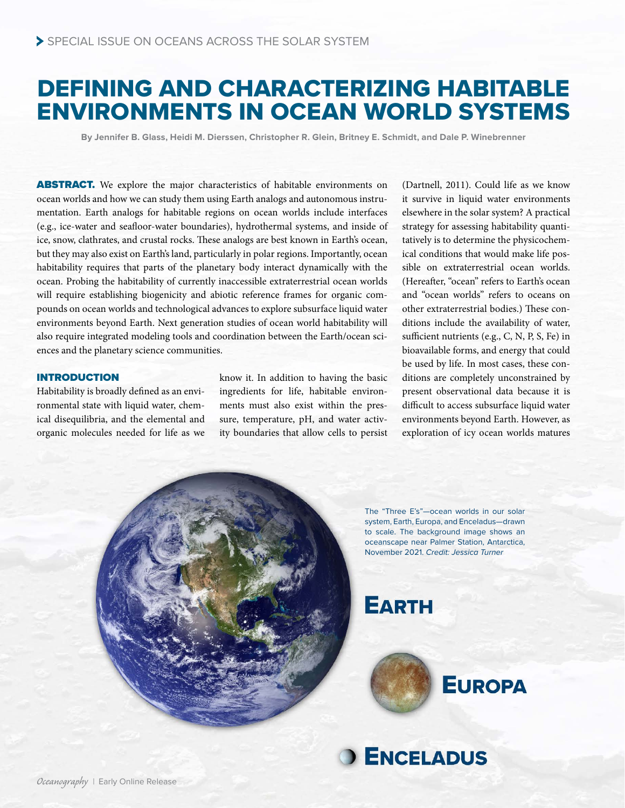# DEFINING AND CHARACTERIZING HABITABLE ENVIRONMENTS IN OCEAN WORLD SYSTEMS

**By Jennifer B. Glass, Heidi M. Dierssen, Christopher R. Glein, Britney E. Schmidt, and Dale P. Winebrenner**

ABSTRACT. We explore the major characteristics of habitable environments on ocean worlds and how we can study them using Earth analogs and autonomous instrumentation. Earth analogs for habitable regions on ocean worlds include interfaces (e.g., ice-water and seafloor-water boundaries), hydrothermal systems, and inside of ice, snow, clathrates, and crustal rocks. These analogs are best known in Earth's ocean, but they may also exist on Earth's land, particularly in polar regions. Importantly, ocean habitability requires that parts of the planetary body interact dynamically with the ocean. Probing the habitability of currently inaccessible extraterrestrial ocean worlds will require establishing biogenicity and abiotic reference frames for organic compounds on ocean worlds and technological advances to explore subsurface liquid water environments beyond Earth. Next generation studies of ocean world habitability will also require integrated modeling tools and coordination between the Earth/ocean sciences and the planetary science communities.

# INTRODUCTION

Habitability is broadly defined as an environmental state with liquid water, chemical disequilibria, and the elemental and organic molecules needed for life as we

know it. In addition to having the basic ingredients for life, habitable environments must also exist within the pressure, temperature, pH, and water activity boundaries that allow cells to persist (Dartnell, 2011). Could life as we know it survive in liquid water environments elsewhere in the solar system? A practical strategy for assessing habitability quantitatively is to determine the physicochemical conditions that would make life possible on extraterrestrial ocean worlds. (Hereafter, "ocean" refers to Earth's ocean and "ocean worlds" refers to oceans on other extraterrestrial bodies.) These conditions include the availability of water, sufficient nutrients (e.g., C, N, P, S, Fe) in bioavailable forms, and energy that could be used by life. In most cases, these conditions are completely unconstrained by present observational data because it is difficult to access subsurface liquid water environments beyond Earth. However, as exploration of icy ocean worlds matures

The "Three E's"—ocean worlds in our solar system, Earth, Europa, and Enceladus—drawn to scale. The background image shows an oceanscape near Palmer Station, Antarctica, November 2021. *Credit: Jessica Turner*

# **EARTH**



**EUROPA**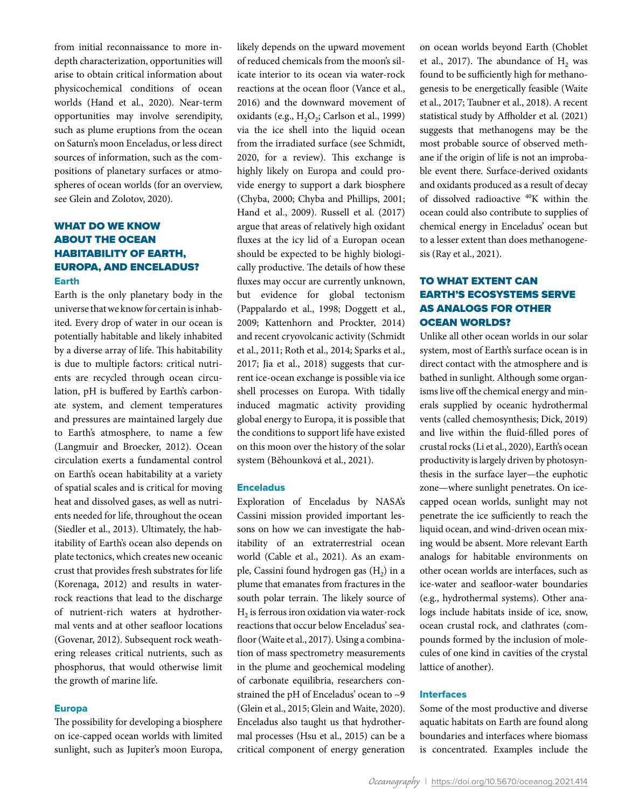from initial reconnaissance to more indepth characterization, opportunities will arise to obtain critical information about physicochemical conditions of ocean worlds (Hand et al., 2020). Near-term opportunities may involve serendipity, such as plume eruptions from the ocean on Saturn's moon Enceladus, or less direct sources of information, such as the compositions of planetary surfaces or atmospheres of ocean worlds (for an overview, see Glein and Zolotov, 2020).

# WHAT DO WE KNOW ABOUT THE OCEAN HABITABILITY OF EARTH, EUROPA, AND ENCELADUS? Earth

Earth is the only planetary body in the universe that we know for certain is inhabited. Every drop of water in our ocean is potentially habitable and likely inhabited by a diverse array of life. This habitability is due to multiple factors: critical nutrients are recycled through ocean circulation, pH is buffered by Earth's carbonate system, and clement temperatures and pressures are maintained largely due to Earth's atmosphere, to name a few (Langmuir and Broecker, 2012). Ocean circulation exerts a fundamental control on Earth's ocean habitability at a variety of spatial scales and is critical for moving heat and dissolved gases, as well as nutrients needed for life, throughout the ocean (Siedler et al., 2013). Ultimately, the habitability of Earth's ocean also depends on plate tectonics, which creates new oceanic crust that provides fresh substrates for life (Korenaga, 2012) and results in waterrock reactions that lead to the discharge of nutrient-rich waters at hydrothermal vents and at other seafloor locations (Govenar, 2012). Subsequent rock weathering releases critical nutrients, such as phosphorus, that would otherwise limit the growth of marine life.

## Europa

The possibility for developing a biosphere on ice-capped ocean worlds with limited sunlight, such as Jupiter's moon Europa, likely depends on the upward movement of reduced chemicals from the moon's silicate interior to its ocean via water-rock reactions at the ocean floor (Vance et al., 2016) and the downward movement of oxidants (e.g., H<sub>2</sub>O<sub>2</sub>; Carlson et al., 1999) via the ice shell into the liquid ocean from the irradiated surface (see Schmidt, 2020, for a review). This exchange is highly likely on Europa and could provide energy to support a dark biosphere (Chyba, 2000; Chyba and Phillips, 2001; Hand et al., 2009). Russell et al. (2017) argue that areas of relatively high oxidant fluxes at the icy lid of a Europan ocean should be expected to be highly biologically productive. The details of how these fluxes may occur are currently unknown, but evidence for global tectonism (Pappalardo et al., 1998; Doggett et al., 2009; Kattenhorn and Prockter, 2014) and recent cryovolcanic activity (Schmidt et al., 2011; Roth et al., 2014; Sparks et al., 2017; Jia et al., 2018) suggests that current ice-ocean exchange is possible via ice shell processes on Europa. With tidally induced magmatic activity providing global energy to Europa, it is possible that the conditions to support life have existed on this moon over the history of the solar system (Běhounková et al., 2021).

### Enceladus

Exploration of Enceladus by NASA's Cassini mission provided important lessons on how we can investigate the habitability of an extraterrestrial ocean world (Cable et al., 2021). As an example, Cassini found hydrogen gas  $(H<sub>2</sub>)$  in a plume that emanates from fractures in the south polar terrain. The likely source of  $H<sub>2</sub>$  is ferrous iron oxidation via water-rock reactions that occur below Enceladus' seafloor (Waite et al., 2017). Using a combination of mass spectrometry measurements in the plume and geochemical modeling of carbonate equilibria, researchers constrained the pH of Enceladus' ocean to ~9 (Glein et al., 2015; Glein and Waite, 2020). Enceladus also taught us that hydrothermal processes (Hsu et al., 2015) can be a critical component of energy generation

on ocean worlds beyond Earth (Choblet et al.,  $2017$ ). The abundance of  $H<sub>2</sub>$  was found to be sufficiently high for methanogenesis to be energetically feasible (Waite et al., 2017; Taubner et al., 2018). A recent statistical study by Affholder et al. (2021) suggests that methanogens may be the most probable source of observed methane if the origin of life is not an improbable event there. Surface-derived oxidants and oxidants produced as a result of decay of dissolved radioactive 40K within the ocean could also contribute to supplies of chemical energy in Enceladus' ocean but to a lesser extent than does methanogenesis (Ray et al., 2021).

# TO WHAT EXTENT CAN EARTH'S ECOSYSTEMS SERVE AS ANALOGS FOR OTHER OCEAN WORLDS?

Unlike all other ocean worlds in our solar system, most of Earth's surface ocean is in direct contact with the atmosphere and is bathed in sunlight. Although some organisms live off the chemical energy and minerals supplied by oceanic hydrothermal vents (called chemosynthesis; Dick, 2019) and live within the fluid-filled pores of crustal rocks (Li et al., 2020), Earth's ocean productivity is largely driven by photosynthesis in the surface layer—the euphotic zone—where sunlight penetrates. On icecapped ocean worlds, sunlight may not penetrate the ice sufficiently to reach the liquid ocean, and wind-driven ocean mixing would be absent. More relevant Earth analogs for habitable environments on other ocean worlds are interfaces, such as ice-water and seafloor-water boundaries (e.g., hydrothermal systems). Other analogs include habitats inside of ice, snow, ocean crustal rock, and clathrates (compounds formed by the inclusion of molecules of one kind in cavities of the crystal lattice of another).

## Interfaces

Some of the most productive and diverse aquatic habitats on Earth are found along boundaries and interfaces where biomass is concentrated. Examples include the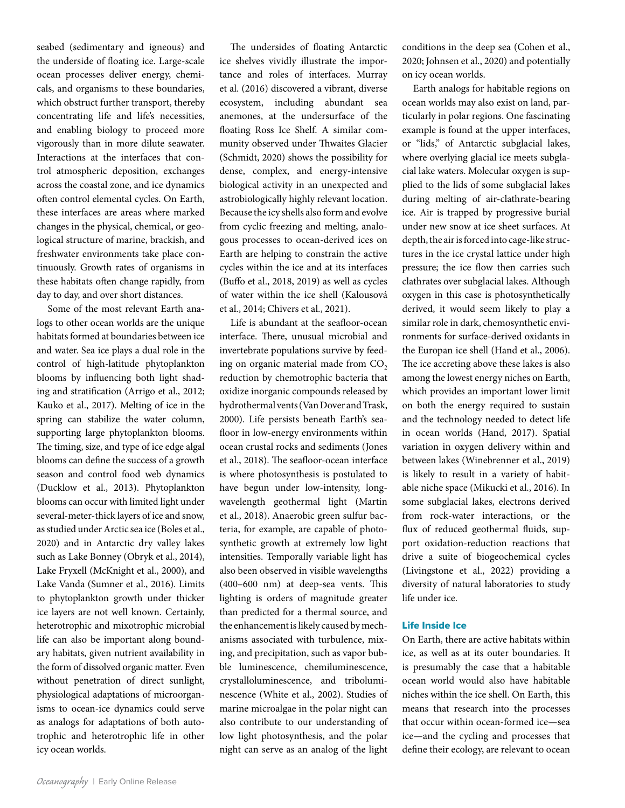seabed (sedimentary and igneous) and the underside of floating ice. Large-scale ocean processes deliver energy, chemicals, and organisms to these boundaries, which obstruct further transport, thereby concentrating life and life's necessities, and enabling biology to proceed more vigorously than in more dilute seawater. Interactions at the interfaces that control atmospheric deposition, exchanges across the coastal zone, and ice dynamics often control elemental cycles. On Earth, these interfaces are areas where marked changes in the physical, chemical, or geological structure of marine, brackish, and freshwater environments take place continuously. Growth rates of organisms in these habitats often change rapidly, from day to day, and over short distances.

Some of the most relevant Earth analogs to other ocean worlds are the unique habitats formed at boundaries between ice and water. Sea ice plays a dual role in the control of high-latitude phytoplankton blooms by influencing both light shading and stratification (Arrigo et al., 2012; Kauko et al., 2017). Melting of ice in the spring can stabilize the water column, supporting large phytoplankton blooms. The timing, size, and type of ice edge algal blooms can define the success of a growth season and control food web dynamics (Ducklow et al., 2013). Phytoplankton blooms can occur with limited light under several-meter-thick layers of ice and snow, as studied under Arctic sea ice (Boles et al., 2020) and in Antarctic dry valley lakes such as Lake Bonney (Obryk et al., 2014), Lake Fryxell (McKnight et al., 2000), and Lake Vanda (Sumner et al., 2016). Limits to phytoplankton growth under thicker ice layers are not well known. Certainly, heterotrophic and mixotrophic microbial life can also be important along boundary habitats, given nutrient availability in the form of dissolved organic matter. Even without penetration of direct sunlight, physiological adaptations of microorganisms to ocean-ice dynamics could serve as analogs for adaptations of both autotrophic and heterotrophic life in other icy ocean worlds.

The undersides of floating Antarctic ice shelves vividly illustrate the importance and roles of interfaces. Murray et al. (2016) discovered a vibrant, diverse ecosystem, including abundant sea anemones, at the undersurface of the floating Ross Ice Shelf. A similar community observed under Thwaites Glacier (Schmidt, 2020) shows the possibility for dense, complex, and energy-intensive biological activity in an unexpected and astrobiologically highly relevant location. Because the icy shells also form and evolve from cyclic freezing and melting, analogous processes to ocean-derived ices on Earth are helping to constrain the active cycles within the ice and at its interfaces (Buffo et al., 2018, 2019) as well as cycles of water within the ice shell (Kalousová et al., 2014; Chivers et al., 2021).

Life is abundant at the seafloor-ocean interface. There, unusual microbial and invertebrate populations survive by feeding on organic material made from  $CO<sub>2</sub>$ reduction by chemotrophic bacteria that oxidize inorganic compounds released by hydrothermal vents (Van Dover and Trask, 2000). Life persists beneath Earth's seafloor in low-energy environments within ocean crustal rocks and sediments (Jones et al., 2018). The seafloor-ocean interface is where photosynthesis is postulated to have begun under low-intensity, longwavelength geothermal light (Martin et al., 2018). Anaerobic green sulfur bacteria, for example, are capable of photosynthetic growth at extremely low light intensities. Temporally variable light has also been observed in visible wavelengths (400–600 nm) at deep-sea vents. This lighting is orders of magnitude greater than predicted for a thermal source, and the enhancement is likely caused by mechanisms associated with turbulence, mixing, and precipitation, such as vapor bubble luminescence, chemiluminescence, crystalloluminescence, and triboluminescence (White et al., 2002). Studies of marine microalgae in the polar night can also contribute to our understanding of low light photosynthesis, and the polar night can serve as an analog of the light conditions in the deep sea (Cohen et al., 2020; Johnsen et al., 2020) and potentially on icy ocean worlds.

Earth analogs for habitable regions on ocean worlds may also exist on land, particularly in polar regions. One fascinating example is found at the upper interfaces, or "lids," of Antarctic subglacial lakes, where overlying glacial ice meets subglacial lake waters. Molecular oxygen is supplied to the lids of some subglacial lakes during melting of air-clathrate-bearing ice. Air is trapped by progressive burial under new snow at ice sheet surfaces. At depth, the air is forced into cage-like structures in the ice crystal lattice under high pressure; the ice flow then carries such clathrates over subglacial lakes. Although oxygen in this case is photosynthetically derived, it would seem likely to play a similar role in dark, chemosynthetic environments for surface-derived oxidants in the Europan ice shell (Hand et al., 2006). The ice accreting above these lakes is also among the lowest energy niches on Earth, which provides an important lower limit on both the energy required to sustain and the technology needed to detect life in ocean worlds (Hand, 2017). Spatial variation in oxygen delivery within and between lakes (Winebrenner et al., 2019) is likely to result in a variety of habitable niche space (Mikucki et al., 2016). In some subglacial lakes, electrons derived from rock-water interactions, or the flux of reduced geothermal fluids, support oxidation-reduction reactions that drive a suite of biogeochemical cycles (Livingstone et al., 2022) providing a diversity of natural laboratories to study life under ice.

# Life Inside Ice

On Earth, there are active habitats within ice, as well as at its outer boundaries. It is presumably the case that a habitable ocean world would also have habitable niches within the ice shell. On Earth, this means that research into the processes that occur within ocean-formed ice—sea ice—and the cycling and processes that define their ecology, are relevant to ocean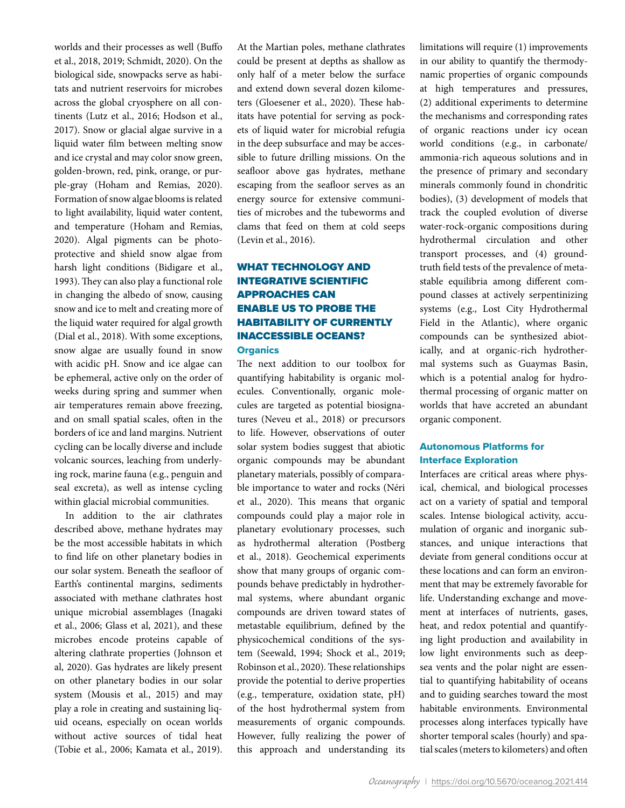worlds and their processes as well (Buffo et al., 2018, 2019; Schmidt, 2020). On the biological side, snowpacks serve as habitats and nutrient reservoirs for microbes across the global cryosphere on all continents (Lutz et al., 2016; Hodson et al., 2017). Snow or glacial algae survive in a liquid water film between melting snow and ice crystal and may color snow green, golden-brown, red, pink, orange, or purple-gray (Hoham and Remias, 2020). Formation of snow algae blooms is related to light availability, liquid water content, and temperature (Hoham and Remias, 2020). Algal pigments can be photoprotective and shield snow algae from harsh light conditions (Bidigare et al., 1993). They can also play a functional role in changing the albedo of snow, causing snow and ice to melt and creating more of the liquid water required for algal growth (Dial et al., 2018). With some exceptions, snow algae are usually found in snow with acidic pH. Snow and ice algae can be ephemeral, active only on the order of weeks during spring and summer when air temperatures remain above freezing, and on small spatial scales, often in the borders of ice and land margins. Nutrient cycling can be locally diverse and include volcanic sources, leaching from underlying rock, marine fauna (e.g., penguin and seal excreta), as well as intense cycling within glacial microbial communities.

In addition to the air clathrates described above, methane hydrates may be the most accessible habitats in which to find life on other planetary bodies in our solar system. Beneath the seafloor of Earth's continental margins, sediments associated with methane clathrates host unique microbial assemblages (Inagaki et al., 2006; Glass et al, 2021), and these microbes encode proteins capable of altering clathrate properties (Johnson et al, 2020). Gas hydrates are likely present on other planetary bodies in our solar system (Mousis et al., 2015) and may play a role in creating and sustaining liquid oceans, especially on ocean worlds without active sources of tidal heat (Tobie et al., 2006; Kamata et al., 2019).

At the Martian poles, methane clathrates could be present at depths as shallow as only half of a meter below the surface and extend down several dozen kilometers (Gloesener et al., 2020). These habitats have potential for serving as pockets of liquid water for microbial refugia in the deep subsurface and may be accessible to future drilling missions. On the seafloor above gas hydrates, methane escaping from the seafloor serves as an energy source for extensive communities of microbes and the tubeworms and clams that feed on them at cold seeps (Levin et al., 2016).

# WHAT TECHNOLOGY AND INTEGRATIVE SCIENTIFIC APPROACHES CAN ENABLE US TO PROBE THE HABITABILITY OF CURRENTLY INACCESSIBLE OCEANS? **Organics**

The next addition to our toolbox for quantifying habitability is organic molecules. Conventionally, organic molecules are targeted as potential biosignatures (Neveu et al., 2018) or precursors to life. However, observations of outer solar system bodies suggest that abiotic organic compounds may be abundant planetary materials, possibly of comparable importance to water and rocks (Néri et al., 2020). This means that organic compounds could play a major role in planetary evolutionary processes, such as hydrothermal alteration (Postberg et al., 2018). Geochemical experiments show that many groups of organic compounds behave predictably in hydrothermal systems, where abundant organic compounds are driven toward states of metastable equilibrium, defined by the physicochemical conditions of the system (Seewald, 1994; Shock et al., 2019; Robinson et al., 2020). These relationships provide the potential to derive properties (e.g., temperature, oxidation state, pH) of the host hydrothermal system from measurements of organic compounds. However, fully realizing the power of this approach and understanding its limitations will require (1) improvements in our ability to quantify the thermodynamic properties of organic compounds at high temperatures and pressures, (2) additional experiments to determine the mechanisms and corresponding rates of organic reactions under icy ocean world conditions (e.g., in carbonate/ ammonia-rich aqueous solutions and in the presence of primary and secondary minerals commonly found in chondritic bodies), (3) development of models that track the coupled evolution of diverse water-rock-organic compositions during hydrothermal circulation and other transport processes, and (4) groundtruth field tests of the prevalence of metastable equilibria among different compound classes at actively serpentinizing systems (e.g., Lost City Hydrothermal Field in the Atlantic), where organic compounds can be synthesized abiotically, and at organic-rich hydrothermal systems such as Guaymas Basin, which is a potential analog for hydrothermal processing of organic matter on worlds that have accreted an abundant organic component.

# Autonomous Platforms for Interface Exploration

Interfaces are critical areas where physical, chemical, and biological processes act on a variety of spatial and temporal scales. Intense biological activity, accumulation of organic and inorganic substances, and unique interactions that deviate from general conditions occur at these locations and can form an environment that may be extremely favorable for life. Understanding exchange and movement at interfaces of nutrients, gases, heat, and redox potential and quantifying light production and availability in low light environments such as deepsea vents and the polar night are essential to quantifying habitability of oceans and to guiding searches toward the most habitable environments. Environmental processes along interfaces typically have shorter temporal scales (hourly) and spatial scales (meters to kilometers) and often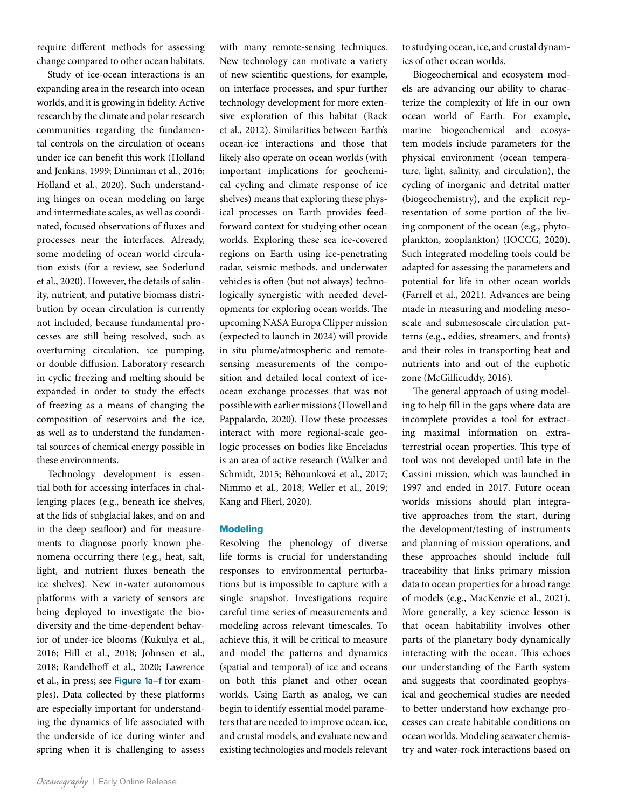require different methods for assessing change compared to other ocean habitats.

Study of ice-ocean interactions is an expanding area in the research into ocean worlds, and it is growing in fidelity. Active research by the climate and polar research communities regarding the fundamental controls on the circulation of oceans under ice can benefit this work (Holland and Jenkins, 1999; Dinniman et al., 2016; Holland et al., 2020). Such understanding hinges on ocean modeling on large and intermediate scales, as well as coordinated, focused observations of fluxes and processes near the interfaces. Already, some modeling of ocean world circulation exists (for a review, see Soderlund et al., 2020). However, the details of salinity, nutrient, and putative biomass distribution by ocean circulation is currently not included, because fundamental processes are still being resolved, such as overturning circulation, ice pumping, or double diffusion. Laboratory research in cyclic freezing and melting should be expanded in order to study the effects of freezing as a means of changing the composition of reservoirs and the ice, as well as to understand the fundamental sources of chemical energy possible in these environments.

Technology development is essential both for accessing interfaces in challenging places (e.g., beneath ice shelves, at the lids of subglacial lakes, and on and in the deep seafloor) and for measurements to diagnose poorly known phenomena occurring there (e.g., heat, salt, light, and nutrient fluxes beneath the ice shelves). New in-water autonomous platforms with a variety of sensors are being deployed to investigate the biodiversity and the time-dependent behavior of under-ice blooms (Kukulya et al., 2016; Hill et al., 2018; Johnsen et al., 2018; Randelhoff et al., 2020; Lawrence et al., in press; see **Figure 1a–f** for examples). Data collected by these platforms are especially important for understanding the dynamics of life associated with the underside of ice during winter and spring when it is challenging to assess

with many remote-sensing techniques. New technology can motivate a variety of new scientific questions, for example, on interface processes, and spur further technology development for more extensive exploration of this habitat (Rack et al., 2012). Similarities between Earth's ocean-ice interactions and those that likely also operate on ocean worlds (with important implications for geochemical cycling and climate response of ice shelves) means that exploring these physical processes on Earth provides feedforward context for studying other ocean worlds. Exploring these sea ice-covered regions on Earth using ice-penetrating radar, seismic methods, and underwater vehicles is often (but not always) technologically synergistic with needed developments for exploring ocean worlds. The upcoming NASA Europa Clipper mission (expected to launch in 2024) will provide in situ plume/atmospheric and remotesensing measurements of the composition and detailed local context of iceocean exchange processes that was not possible with earlier missions (Howell and Pappalardo, 2020). How these processes interact with more regional-scale geologic processes on bodies like Enceladus is an area of active research (Walker and Schmidt, 2015; Běhounková et al., 2017; Nimmo et al., 2018; Weller et al., 2019; Kang and Flierl, 2020).

## **Modeling**

Resolving the phenology of diverse life forms is crucial for understanding responses to environmental perturbations but is impossible to capture with a single snapshot. Investigations require careful time series of measurements and modeling across relevant timescales. To achieve this, it will be critical to measure and model the patterns and dynamics (spatial and temporal) of ice and oceans on both this planet and other ocean worlds. Using Earth as analog, we can begin to identify essential model parameters that are needed to improve ocean, ice, and crustal models, and evaluate new and existing technologies and models relevant to studying ocean, ice, and crustal dynamics of other ocean worlds.

Biogeochemical and ecosystem models are advancing our ability to characterize the complexity of life in our own ocean world of Earth. For example, marine biogeochemical and ecosystem models include parameters for the physical environment (ocean temperature, light, salinity, and circulation), the cycling of inorganic and detrital matter (biogeochemistry), and the explicit representation of some portion of the living component of the ocean (e.g., phytoplankton, zooplankton) (IOCCG, 2020). Such integrated modeling tools could be adapted for assessing the parameters and potential for life in other ocean worlds (Farrell et al., 2021). Advances are being made in measuring and modeling mesoscale and submesoscale circulation patterns (e.g., eddies, streamers, and fronts) and their roles in transporting heat and nutrients into and out of the euphotic zone (McGillicuddy, 2016).

The general approach of using modeling to help fill in the gaps where data are incomplete provides a tool for extracting maximal information on extraterrestrial ocean properties. This type of tool was not developed until late in the Cassini mission, which was launched in 1997 and ended in 2017. Future ocean worlds missions should plan integrative approaches from the start, during the development/testing of instruments and planning of mission operations, and these approaches should include full traceability that links primary mission data to ocean properties for a broad range of models (e.g., MacKenzie et al., 2021). More generally, a key science lesson is that ocean habitability involves other parts of the planetary body dynamically interacting with the ocean. This echoes our understanding of the Earth system and suggests that coordinated geophysical and geochemical studies are needed to better understand how exchange processes can create habitable conditions on ocean worlds. Modeling seawater chemistry and water-rock interactions based on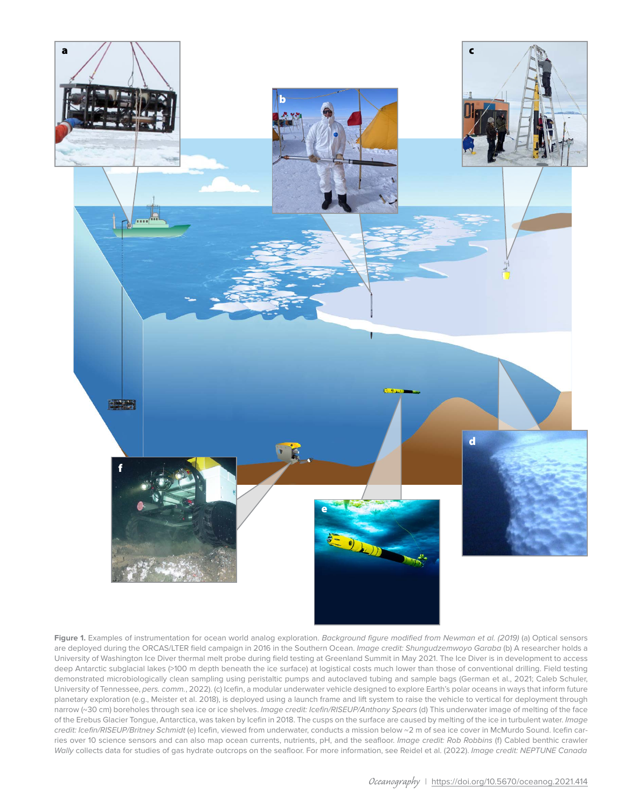

**Figure 1.** Examples of instrumentation for ocean world analog exploration. *Background figure modified from Newman et al. (2019)* (a) Optical sensors are deployed during the ORCAS/LTER field campaign in 2016 in the Southern Ocean. *Image credit: Shungudzemwoyo Garaba* (b) A researcher holds a University of Washington Ice Diver thermal melt probe during field testing at Greenland Summit in May 2021. The Ice Diver is in development to access deep Antarctic subglacial lakes (>100 m depth beneath the ice surface) at logistical costs much lower than those of conventional drilling. Field testing demonstrated microbiologically clean sampling using peristaltic pumps and autoclaved tubing and sample bags (German et al., 2021; Caleb Schuler, University of Tennessee, *pers. comm.*, 2022). (c) Icefin, a modular underwater vehicle designed to explore Earth's polar oceans in ways that inform future planetary exploration (e.g., Meister et al. 2018), is deployed using a launch frame and lift system to raise the vehicle to vertical for deployment through narrow (~30 cm) boreholes through sea ice or ice shelves. *Image credit: Icefin/RISEUP/Anthony Spears* (d) This underwater image of melting of the face of the Erebus Glacier Tongue, Antarctica, was taken by Icefin in 2018. The cusps on the surface are caused by melting of the ice in turbulent water. *Image credit: Icefin/RISEUP/Britney Schmidt* (e) Icefin, viewed from underwater, conducts a mission below ~2 m of sea ice cover in McMurdo Sound. Icefin carries over 10 science sensors and can also map ocean currents, nutrients, pH, and the seafloor. *Image credit: Rob Robbins* (f) Cabled benthic crawler *Wally* collects data for studies of gas hydrate outcrops on the seafloor. For more information, see Reidel et al. (2022). *Image credit: NEPTUNE Canada*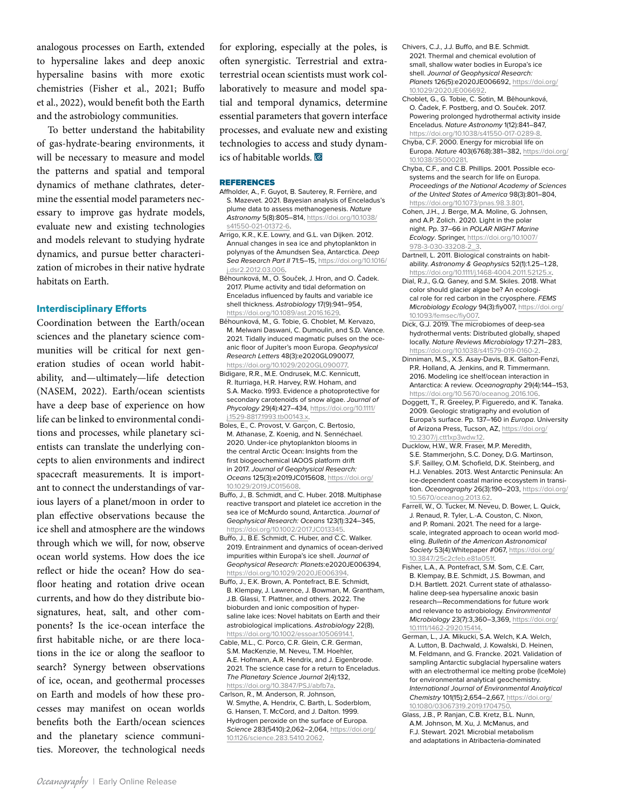analogous processes on Earth, extended to hypersaline lakes and deep anoxic hypersaline basins with more exotic chemistries (Fisher et al., 2021; Buffo et al., 2022), would benefit both the Earth and the astrobiology communities.

To better understand the habitability of gas-hydrate-bearing environments, it will be necessary to measure and model the patterns and spatial and temporal dynamics of methane clathrates, determine the essential model parameters necessary to improve gas hydrate models, evaluate new and existing technologies and models relevant to studying hydrate dynamics, and pursue better characterization of microbes in their native hydrate habitats on Earth.

## Interdisciplinary Efforts

Coordination between the Earth/ocean sciences and the planetary science communities will be critical for next generation studies of ocean world habitability, and—ultimately—life detection (NASEM, 2022). Earth/ocean scientists have a deep base of experience on how life can be linked to environmental conditions and processes, while planetary scientists can translate the underlying concepts to alien environments and indirect spacecraft measurements. It is important to connect the understandings of various layers of a planet/moon in order to plan effective observations because the ice shell and atmosphere are the windows through which we will, for now, observe ocean world systems. How does the ice reflect or hide the ocean? How do seafloor heating and rotation drive ocean currents, and how do they distribute biosignatures, heat, salt, and other components? Is the ice-ocean interface the first habitable niche, or are there locations in the ice or along the seafloor to search? Synergy between observations of ice, ocean, and geothermal processes on Earth and models of how these processes may manifest on ocean worlds benefits both the Earth/ocean sciences and the planetary science communities. Moreover, the technological needs

for exploring, especially at the poles, is often synergistic. Terrestrial and extraterrestrial ocean scientists must work collaboratively to measure and model spatial and temporal dynamics, determine essential parameters that govern interface processes, and evaluate new and existing technologies to access and study dynamics of habitable worlds.

#### REFERENCES

- Affholder, A., F. Guyot, B. Sauterey, R. Ferrière, and S. Mazevet. 2021. Bayesian analysis of Enceladus's plume data to assess methanogenesis. *Nature Astronomy* 5(8):805–814, [https://doi.org/10.1038/](https://doi.org/10.1038/s41550-021-01372-6) [s41550-021-01372-6.](https://doi.org/10.1038/s41550-021-01372-6)
- Arrigo, K.R., K.E. Lowry, and G.L. van Dijken. 2012. Annual changes in sea ice and phytoplankton in polynyas of the Amundsen Sea, Antarctica. *Deep Sea Research Part II* 71:5–15, [https://doi.org/10.1016/](https://doi.org/10.1016/j.dsr2.2012.03.006) [j.dsr2.2012.03.006](https://doi.org/10.1016/j.dsr2.2012.03.006).
- Běhounková, M., O. Souček, J. Hron, and O. Čadek. 2017. Plume activity and tidal deformation on Enceladus influenced by faults and variable ice shell thickness. *Astrobiology* 17(9):941–954, <https://doi.org/10.1089/ast.2016.1629>.
- Běhounková, M., G. Tobie, G. Choblet, M. Kervazo, M. Melwani Daswani, C. Dumoulin, and S.D. Vance. 2021. Tidally induced magmatic pulses on the oceanic floor of Jupiter's moon Europa. *Geophysical Research Letters* 48(3):e2020GL090077, <https://doi.org/10.1029/2020GL090077>.
- Bidigare, R.R., M.E. Ondrusek, M.C. Kennicutt, R. Iturriaga, H.R. Harvey, R.W. Hoham, and S.A. Macko. 1993. Evidence a photoprotective for secondary carotenoids of snow algae. *Journal of Phycology* 29(4):427–434, [https://doi.org/10.1111/](https://doi.org/10.1111/j.1529-8817.1993.tb00143.x) [j.1529-8817.1993.tb00143.x](https://doi.org/10.1111/j.1529-8817.1993.tb00143.x).
- Boles, E., C. Provost, V. Garçon, C. Bertosio, M. Athanase, Z. Koenig, and N. Sennéchael. 2020. Under-ice phytoplankton blooms in the central Arctic Ocean: Insights from the first biogeochemical IAOOS platform drift in 2017. *Journal of Geophysical Research: Oceans* 125(3):e2019JC015608, [https://doi.org/](https://doi.org/10.1029/2019JC015608) [10.1029/2019JC015608.](https://doi.org/10.1029/2019JC015608)
- Buffo, J., B. Schmidt, and C. Huber. 2018. Multiphase reactive transport and platelet ice accretion in the sea ice of McMurdo sound, Antarctica. *Journal of Geophysical Research: Oceans* 123(1):324–345, <https://doi.org/10.1002/2017JC013345>.
- Buffo, J., B.E. Schmidt, C. Huber, and C.C. Walker. 2019. Entrainment and dynamics of ocean-derived impurities within Europa's ice shell. *Journal of Geophysical Research: Planets*:e2020JE006394, <https://doi.org/10.1029/2020JE006394>.
- Buffo, J., E.K. Brown, A. Pontefract, B.E. Schmidt, B. Klempay, J. Lawrence, J. Bowman, M. Grantham, J.B. Glassi, T. Plattner, and others. 2022. The bioburden and ionic composition of hypersaline lake ices: Novel habitats on Earth and their astrobiological implications. *Astrobiology* 22(8), <https://doi.org/10.1002/essoar.10506914.1>.
- Cable, M.L., C. Porco, C.R. Glein, C.R. German, S.M. MacKenzie, M. Neveu, T.M. Hoehler, A.E. Hofmann, A.R. Hendrix, and J. Eigenbrode. 2021. The science case for a return to Enceladus. *The Planetary Science Journal* 2(4):132, <https://doi.org/10.3847/PSJ/abfb7a>.
- Carlson, R., M. Anderson, R. Johnson, W. Smythe, A. Hendrix, C. Barth, L. Soderblom, G. Hansen, T. McCord, and J. Dalton. 1999. Hydrogen peroxide on the surface of Europa. *Science* 283(5410):2,062–2,064, [https://doi.org/](https://doi.org/10.1126/science.283.5410.2062) [10.1126/science.283.5410.2062](https://doi.org/10.1126/science.283.5410.2062).
- Chivers, C.J., J.J. Buffo, and B.E. Schmidt. 2021. Thermal and chemical evolution of small, shallow water bodies in Europa's ice shell. *Journal of Geophysical Research: Planets* 126(5):e2020JE006692, [https://doi.org/](https://doi.org/10.1029/2020JE006692) [10.1029/2020JE006692.](https://doi.org/10.1029/2020JE006692)
- Choblet, G., G. Tobie, C. Sotin, M. Běhounková, O. Čadek, F. Postberg, and O. Souček. 2017. Powering prolonged hydrothermal activity inside Enceladus. *Nature Astronomy* 1(12):841–847, <https://doi.org/10.1038/s41550-017-0289-8>.
- Chyba, C.F. 2000. Energy for microbial life on Europa. *Nature* 403(6768):381–382, [https://doi.org/](https://doi.org/10.1038/35000281) [10.1038/35000281.](https://doi.org/10.1038/35000281)
- Chyba, C.F., and C.B. Phillips. 2001. Possible ecosystems and the search for life on Europa. *Proceedings of the National Academy of Sciences of the United States of America* 98(3):801–804, <https://doi.org/10.1073/pnas.98.3.801>.
- Cohen, J.H., J. Berge, M.A. Moline, G. Johnsen, and A.P. Zolich. 2020. Light in the polar night. Pp. 37–66 in *POLAR NIGHT Marine Ecology*. Springer, [https://doi.org/10.1007/](https://doi.org/10.1007/978-3-030-33208-2_3) [978-3-030-33208-2\\_3](https://doi.org/10.1007/978-3-030-33208-2_3).
- Dartnell, L. 2011. Biological constraints on habitability. *Astronomy & Geophysics* 52(1):1.25–1.28, [https://doi.org/10.1111/j.1468-4004.2011.52125.x.](https://doi.org/10.1111/j.1468-4004.2011.52125.x)
- Dial, R.J., G.Q. Ganey, and S.M. Skiles. 2018. What color should glacier algae be? An ecological role for red carbon in the cryosphere. *FEMS Microbiology Ecology* 94(3):fiy007, [https://doi.org/](https://doi.org/10.1093/femsec/fiy007) [10.1093/femsec/fiy007](https://doi.org/10.1093/femsec/fiy007).
- Dick, G.J. 2019. The microbiomes of deep-sea hydrothermal vents: Distributed globally, shaped locally. *Nature Reviews Microbiology* 17:271–283, [https://doi.org/10.1038/s41579-019-0160-2.](https://doi.org/10.1038/s41579-019-0160-2)
- Dinniman, M.S., X.S. Asay-Davis, B.K. Galton-Fenzi, P.R. Holland, A. Jenkins, and R. Timmermann. 2016. Modeling ice shelf/ocean interaction in Antarctica: A review. *Oceanography* 29(4):144–153, <https://doi.org/10.5670/oceanog.2016.106>.
- Doggett, T., R. Greeley, P. Figueredo, and K. Tanaka. 2009. Geologic stratigraphy and evolution of Europa's surface. Pp. 137–160 in *Europa*. University of Arizona Press, Tucson, AZ, [https://doi.org/](https://doi.org/10.2307/j.ctt1xp3wdw.12) [10.2307/j.ctt1xp3wdw.12](https://doi.org/10.2307/j.ctt1xp3wdw.12).
- Ducklow, H.W., W.R. Fraser, M.P. Meredith, S.E. Stammerjohn, S.C. Doney, D.G. Martinson, S.F. Sailley, O.M. Schofield, D.K. Steinberg, and H.J. Venables. 2013. West Antarctic Peninsula: An ice-dependent coastal marine ecosystem in transition. *Oceanography* 26(3):190–203, [https://doi.org/](https://doi.org/10.5670/oceanog.2013.62) [10.5670/oceanog.2013.62](https://doi.org/10.5670/oceanog.2013.62).
- Farrell, W., O. Tucker, M. Neveu, D. Bower, L. Quick, J. Renaud, R. Tyler, L.-A. Couston, C. Nixon, and P. Romani. 2021. The need for a largescale, integrated approach to ocean world modeling. *Bulletin of the American Astronomical Society* 53(4):Whitepaper #067, [https://doi.org/](https://doi.org/10.3847/25c2cfeb.e81a051f) [10.3847/25c2cfeb.e81a051f](https://doi.org/10.3847/25c2cfeb.e81a051f).
- Fisher, L.A., A. Pontefract, S.M. Som, C.E. Carr, B. Klempay, B.E. Schmidt, J.S. Bowman, and D.H. Bartlett. 2021. Current state of athalassohaline deep-sea hypersaline anoxic basin research—Recommendations for future work and relevance to astrobiology. *Environmental Microbiology* 23(7):3,360–3,369, [https://doi.org/](https://doi.org/10.1111/1462-2920.15414) [10.1111/1462-2920.15414](https://doi.org/10.1111/1462-2920.15414).
- German, L., J.A. Mikucki, S.A. Welch, K.A. Welch, A. Lutton, B. Dachwald, J. Kowalski, D. Heinen, M. Feldmann, and G. Francke. 2021. Validation of sampling Antarctic subglacial hypersaline waters with an electrothermal ice melting probe (IceMole) for environmental analytical geochemistry. *International Journal of Environmental Analytical Chemistry* 101(15):2,654–2,667, [https://doi.org/](https://doi.org/10.1080/03067319.2019.1704750) [10.1080/03067319.2019.1704750.](https://doi.org/10.1080/03067319.2019.1704750)
- Glass, J.B., P. Ranjan, C.B. Kretz, B.L. Nunn, A.M. Johnson, M. Xu, J. McManus, and F.J. Stewart. 2021. Microbial metabolism and adaptations in Atribacteria-dominated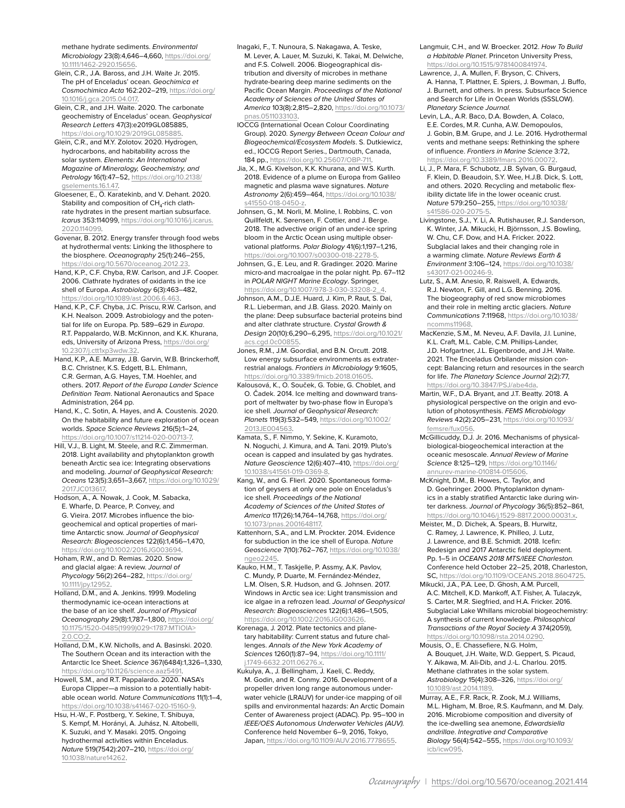methane hydrate sediments. *Environmental Microbiology* 23(8):4,646–4,660, [https://doi.org/](https://doi.org/10.1111/1462-2920.15656) 10.1111/1462-2920.156

- Glein, C.R., J.A. Baross, and J.H. Waite Jr. 2015. The pH of Enceladus' ocean. *Geochimica et Cosmochimica Acta* 162:202–219, [https://doi.org/](https://doi.org/10.1016/j.gca.2015.04.017) [10.1016/j.gca.2015.04.017.](https://doi.org/10.1016/j.gca.2015.04.017)
- Glein, C.R., and J.H. Waite. 2020. The carbonate geochemistry of Enceladus' ocean. *Geophysical Research Letters* 47(3):e2019GL085885, [https://doi.org/10.1029/2019GL085885.](https://doi.org/10.1029/2019GL085885)
- Glein, C.R., and M.Y. Zolotov. 2020. Hydrogen, hydrocarbons, and habitability across the solar system. *Elements: An International Magazine of Mineralogy, Geochemistry, and Petrology* 16(1):47–52, [https://doi.org/10.2138/](https://doi.org/10.2138/gselements.16.1.47) [gselements.16.1.47](https://doi.org/10.2138/gselements.16.1.47).
- Gloesener, E., Ö. Karatekinb, and V. Dehant. 2020. Stability and composition of  $CH<sub>4</sub>$ -rich clathrate hydrates in the present martian subsurface. *Icarus* 353:114099, [https://doi.org/10.1016/j.icarus.](https://doi.org/10.1016/j.icarus.2020.114099) [2020.114099](https://doi.org/10.1016/j.icarus.2020.114099).
- Govenar, B. 2012. Energy transfer through food webs at hydrothermal vents: Linking the lithosphere to the biosphere. *Oceanography* 25(1):246–255, <https://doi.org/10.5670/oceanog.2012.23>.
- Hand, K.P., C.F. Chyba, R.W. Carlson, and J.F. Cooper. 2006. Clathrate hydrates of oxidants in the ice shell of Europa. *Astrobiology* 6(3):463–482, [https://doi.org/10.1089/ast.2006.6.463.](https://doi.org/10.1089/ast.2006.6.463)
- Hand, K.P., C.F. Chyba, J.C. Priscu, R.W. Carlson, and K.H. Nealson. 2009. Astrobiology and the potential for life on Europa. Pp. 589–629 in *Europa*. R.T. Pappalardo, W.B. McKinnon, and K.K. Khurana, eds, University of Arizona Press, [https://doi.org/](https://doi.org/10.2307/j.ctt1xp3wdw.32) [10.2307/j.ctt1xp3wdw.32.](https://doi.org/10.2307/j.ctt1xp3wdw.32)
- Hand, K.P., A.E. Murray, J.B. Garvin, W.B. Brinckerhoff, B.C. Christner, K.S. Edgett, B.L. Ehlmann, C.R. German, A.G. Hayes, T.M. Hoehler, and others. 2017. *Report of the Europa Lander Science Definition Team*. National Aeronautics and Space Administration, 264 pp.
- Hand, K., C. Sotin, A. Hayes, and A. Coustenis. 2020. On the habitability and future exploration of ocean worlds. *Space Science Reviews* 216(5):1–24, [https://doi.org/10.1007/s11214-020-00713-7.](https://doi.org/10.1007/s11214-020-00713-7)
- Hill, V.J., B. Light, M. Steele, and R.C. Zimmerman. 2018. Light availability and phytoplankton growth beneath Arctic sea ice: Integrating observations and modeling. *Journal of Geophysical Research: Oceans* 123(5):3,651–3,667, [https://doi.org/10.1029/](https://doi.org/10.1029/2017JC013617) [2017JC013617.](https://doi.org/10.1029/2017JC013617)
- Hodson, A., A. Nowak, J. Cook, M. Sabacka, E. Wharfe, D. Pearce, P. Convey, and G. Vieira. 2017. Microbes influence the biogeochemical and optical properties of maritime Antarctic snow. *Journal of Geophysical Research: Biogeosciences* 122(6):1,456–1,470, [https://doi.org/10.1002/2016JG003694.](https://doi.org/10.1002/2016JG003694)
- Hoham, R.W., and D. Remias. 2020. Snow and glacial algae: A review. *Journal of Phycology* 56(2):264–282, [https://doi.org/](https://doi.org/10.1111/jpy.12952) [10.1111/jpy.12952](https://doi.org/10.1111/jpy.12952).
- Holland, D.M., and A. Jenkins. 1999. Modeling thermodynamic ice-ocean interactions at the base of an ice shelf. *Journal of Physical Oceanography* 29(8):1,787–1,800, [https://doi.org/](https://doi.org/10.1175/1520-0485(1999)029<1787:MTIOIA>2.0.CO;2) [10.1175/1520-0485\(1999\)029<1787:MTIOIA>](https://doi.org/10.1175/1520-0485(1999)029<1787:MTIOIA>2.0.CO;2) [2.0.CO;2](https://doi.org/10.1175/1520-0485(1999)029<1787:MTIOIA>2.0.CO;2).
- Holland, D.M., K.W. Nicholls, and A. Basinski. 2020. The Southern Ocean and its interaction with the Antarctic Ice Sheet. *Science* 367(6484):1,326–1,330, [https://doi.org/10.1126/science.aaz5491.](https://doi.org/10.1126/science.aaz5491)
- Howell, S.M., and R.T. Pappalardo. 2020. NASA's Europa Clipper—a mission to a potentially habitable ocean world. *Nature Communications* 11(1):1–4, [https://doi.org/10.1038/s41467-020-15160-9.](https://doi.org/10.1038/s41467-020-15160-9)
- Hsu, H.-W., F. Postberg, Y. Sekine, T. Shibuya, S. Kempf, M. Horányi, A. Juhász, N. Altobelli, K. Suzuki, and Y. Masaki. 2015. Ongoing hydrothermal activities within Enceladus. *Nature* 519(7542):207–210, [https://doi.org/](https://doi.org/10.1038/nature14262) [10.1038/nature14262](https://doi.org/10.1038/nature14262).
- Inagaki, F., T. Nunoura, S. Nakagawa, A. Teske, M. Lever, A. Lauer, M. Suzuki, K. Takai, M. Delwiche, and F.S. Colwell. 2006. Biogeographical distribution and diversity of microbes in methane hydrate-bearing deep marine sediments on the Pacific Ocean Margin. *Proceedings of the National Academy of Sciences of the United States of America* 103(8):2,815–2,820, [https://doi.org/10.1073/](https://doi.org/10.1073/pnas.0511033103) [pnas.0511033103.](https://doi.org/10.1073/pnas.0511033103)
- IOCCG (International Ocean Colour Coordinating Group). 2020. *Synergy Between Ocean Colour and Biogeochemical/Ecosystem Models*. S. Dutkiewicz, ed., IOCCG Report Series., Dartmouth, Canada, 184 pp., https://doi.org/10.25607/OBP-7
- Jia, X., M.G. Kivelson, K.K. Khurana, and W.S. Kurth. 2018. Evidence of a plume on Europa from Galileo magnetic and plasma wave signatures. *Nature Astronomy* 2(6):459–464, [https://doi.org/10.1038/](https://doi.org/10.1038/s41550-018-0450-z) [s41550-018-0450-z.](https://doi.org/10.1038/s41550-018-0450-z)
- Johnsen, G., M. Norli, M. Moline, I. Robbins, C. von Quillfeldt, K. Sørensen, F. Cottier, and J. Berge. 2018. The advective origin of an under-ice spring bloom in the Arctic Ocean using multiple observational platforms. *Polar Biology* 41(6):1,197–1,216, [https://doi.org/10.1007/s00300-018-2278-5.](https://doi.org/10.1007/s00300-018-2278-5)
- Johnsen, G., E. Leu, and R. Gradinger. 2020. Marine micro-and macroalgae in the polar night. Pp. 67–112 in *POLAR NIGHT Marine Ecology*. Springer, https://doi.org/10.1007/978-3-030-33208-2
- Johnson, A.M., D.J.E. Huard, J. Kim, P. Raut, S. Dai, R.L. Lieberman, and J.B. Glass. 2020. Mainly on the plane: Deep subsurface bacterial proteins bind and alter clathrate structure. *Crystal Growth & Design* 20(10):6,290–6,295, [https://doi.org/10.1021/](https://doi.org/10.1021/acs.cgd.0c00855) acs.cgd.0c0085
- Jones, R.M., J.M. Goordial, and B.N. Orcutt. 2018. Low energy subsurface environments as extraterrestrial analogs. *Frontiers in Microbiology* 9:1605, https://doi.org/10.3389/fmicb.2018.0160
- Kalousová, K., O. Souček, G. Tobie, G. Choblet, and O. Čadek. 2014. Ice melting and downward transport of meltwater by two-phase flow in Europa's ice shell. *Journal of Geophysical Research: Planets* 119(3):532–549, [https://doi.org/10.1002/](https://doi.org/10.1002/2013JE004563) [2013JE004563](https://doi.org/10.1002/2013JE004563).
- Kamata, S., F. Nimmo, Y. Sekine, K. Kuramoto, N. Noguchi, J. Kimura, and A. Tani. 2019. Pluto's ocean is capped and insulated by gas hydrates. *Nature Geoscience* 12(6):407–410, [https://doi.org/](https://doi.org/10.1038/s41561-019-0369-8) [10.1038/s41561-019-0369-8.](https://doi.org/10.1038/s41561-019-0369-8)
- Kang, W., and G. Flierl. 2020. Spontaneous formation of geysers at only one pole on Enceladus's ice shell. *Proceedings of the National Academy of Sciences of the United States of America* 117(26):14,764–14,768, [https://doi.org/](https://doi.org/10.1073/pnas.2001648117) [10.1073/pnas.2001648117.](https://doi.org/10.1073/pnas.2001648117)
- Kattenhorn, S.A., and L.M. Prockter. 2014. Evidence for subduction in the ice shell of Europa. *Nature Geoscience* 7(10):762–767, [https://doi.org/10.1038/](https://doi.org/10.1038/ngeo2245) [ngeo2245.](https://doi.org/10.1038/ngeo2245)
- Kauko, H.M., T. Taskjelle, P. Assmy, A.K. Pavlov, C. Mundy, P. Duarte, M. Fernández-Méndez, L.M. Olsen, S.R. Hudson, and G. Johnsen. 2017. Windows in Arctic sea ice: Light transmission and ice algae in a refrozen lead. *Journal of Geophysical Research: Biogeosciences* 122(6):1,486–1,505, [https://doi.org/10.1002/2016JG003626.](https://doi.org/10.1002/2016JG003626)
- Korenaga, J. 2012. Plate tectonics and planetary habitability: Current status and future challenges. *Annals of the New York Academy of Sciences* 1260(1):87–94, [https://doi.org/10.1111/](https://doi.org/10.1111/j.1749-6632.2011.06276.x) [j.1749-6632.2011.06276.x](https://doi.org/10.1111/j.1749-6632.2011.06276.x).
- Kukulya, A., J. Bellingham, J. Kaeli, C. Reddy, M. Godin, and R. Conmy. 2016. Development of a propeller driven long range autonomous underwater vehicle (LRAUV) for under-ice mapping of oil spills and environmental hazards: An Arctic Domain Center of Awareness project (ADAC). Pp. 95–100 in *IEEE/OES Autonomous Underwater Vehicles (AUV).*  Conference held November 6–9, 2016, Tokyo, Japan, <https://doi.org/10.1109/AUV.2016.7778655>.
- Langmuir, C.H., and W. Broecker. 2012. *How To Build a Habitable Planet*. Princeton University Press, <https://doi.org/10.1515/9781400841974>.
- Lawrence, J., A. Mullen, F. Bryson, C. Chivers, A. Hanna, T. Plattner, E. Spiers, J. Bowman, J. Buffo, J. Burnett, and others. In press. Subsurface Science and Search for Life in Ocean Worlds (SSSLOW). *Planetary Science Journal.*
- Levin, L.A., A.R. Baco, D.A. Bowden, A. Colaco, E.E. Cordes, M.R. Cunha, A.W. Demopoulos, J. Gobin, B.M. Grupe, and J. Le. 2016. Hydrothermal vents and methane seeps: Rethinking the sphere of influence. *Frontiers in Marine Science* 3:72, https://doi.org/10.3389/fmars.2016.0007
- Li, J., P. Mara, F. Schubotz, J.B. Sylvan, G. Burgaud, F. Klein, D. Beaudoin, S.Y. Wee, H.J.B. Dick, S. Lott, and others. 2020. Recycling and metabolic flexibility dictate life in the lower oceanic crust. *Nature* 579:250–255, [https://doi.org/10.1038/](https://doi.org/10.1038/s41586-020-2075-5) [s41586-020-2075-5.](https://doi.org/10.1038/s41586-020-2075-5)
- Livingstone, S.J., Y. Li, A. Rutishauser, R.J. Sanderson, K. Winter, J.A. Mikucki, H. Björnsson, J.S. Bowling, W. Chu, C.F. Dow, and H.A. Fricker. 2022. Subglacial lakes and their changing role in a warming climate. *Nature Reviews Earth & Environment* 3:106–124, [https://doi.org/10.1038/](https://doi.org/10.1038/s43017-021-00246-9) [s43017-021-00246-9.](https://doi.org/10.1038/s43017-021-00246-9)
- Lutz, S., A.M. Anesio, R. Raiswell, A. Edwards, R.J. Newton, F. Gill, and L.G. Benning. 2016. The biogeography of red snow microbiomes and their role in melting arctic glaciers. *Nature Communications* 7:11968, [https://doi.org/10.1038/](https://doi.org/10.1038/ncomms11968) [ncomms11968.](https://doi.org/10.1038/ncomms11968)
- MacKenzie, S.M., M. Neveu, A.F. Davila, J.I. Lunine, K.L. Craft, M.L. Cable, C.M. Phillips-Lander, J.D. Hofgartner, J.L. Eigenbrode, and J.H. Waite. 2021. The Enceladus Orbilander mission concept: Balancing return and resources in the search for life. *The Planetary Science Journal* 2(2):77, [https://doi.org/10.3847/PSJ/abe4da.](https://doi.org/10.3847/PSJ/abe4da)
- Martin, W.F., D.A. Bryant, and J.T. Beatty. 2018. A physiological perspective on the origin and evolution of photosynthesis. *FEMS Microbiology Reviews* 42(2):205–231, [https://doi.org/10.1093/](https://doi.org/10.1093/femsre/fux056) [femsre/fux056.](https://doi.org/10.1093/femsre/fux056)
- McGillicuddy, D.J. Jr. 2016. Mechanisms of physicalbiological-biogeochemical interaction at the oceanic mesoscale. *Annual Review of Marine Science* 8:125–129, [https://doi.org/10.1146/](https://doi.org/10.1146/annurev-marine-010814-015606) [annurev-marine-010814-015606](https://doi.org/10.1146/annurev-marine-010814-015606).
- McKnight, D.M., B. Howes, C. Taylor, and D. Goehringer. 2000. Phytoplankton dynamics in a stably stratified Antarctic lake during winter darkness. *Journal of Phycology* 36(5):852–861, <https://doi.org/10.1046/j.1529-8817.2000.00031.x>.
- Meister, M., D. Dichek, A. Spears, B. Hurwitz, C. Ramey, J. Lawrence, K. Philleo, J. Lutz, J. Lawrence, and B.E. Schmidt. 2018. Icefin: Redesign and 2017 Antarctic field deployment. Pp. 1–5 in *OCEANS 2018 MTS/IEEE Charleston.*  Conference held October 22–25, 2018, Charleston, SC, <https://doi.org/10.1109/OCEANS.2018.8604725>.
- Mikucki, J.A., P.A. Lee, D. Ghosh, A.M. Purcell, A.C. Mitchell, K.D. Mankoff, A.T. Fisher, A. Tulaczyk, S. Carter, M.R. Siegfried, and H.A. Fricker. 2016. Subglacial Lake Whillans microbial biogeochemistry: A synthesis of current knowledge. *Philosophical Transactions of the Royal Society A* 374(2059), [https://doi.org/10.1098/rsta.2014.0290.](https://doi.org/10.1098/rsta.2014.0290)
- Mousis, O., E. Chassefiere, N.G. Holm, A. Bouquet, J.H. Waite, W.D. Geppert, S. Picaud, Y. Aikawa, M. Ali-Dib, and J.-L. Charlou. 2015. Methane clathrates in the solar system. *Astrobiology* 15(4):308–326, [https://doi.org/](https://doi.org/10.1089/ast.2014.1189) [10.1089/ast.2014.1189](https://doi.org/10.1089/ast.2014.1189).
- Murray, A.E., F.R. Rack, R. Zook, M.J. Williams, M.L. Higham, M. Broe, R.S. Kaufmann, and M. Daly. 2016. Microbiome composition and diversity of the ice-dwelling sea anemone, *Edwardsiella andrillae*. *Integrative and Comparative Biology* 56(4):542–555, [https://doi.org/10.1093/](https://doi.org/10.1093/icb/icw095) [icb/icw095](https://doi.org/10.1093/icb/icw095).